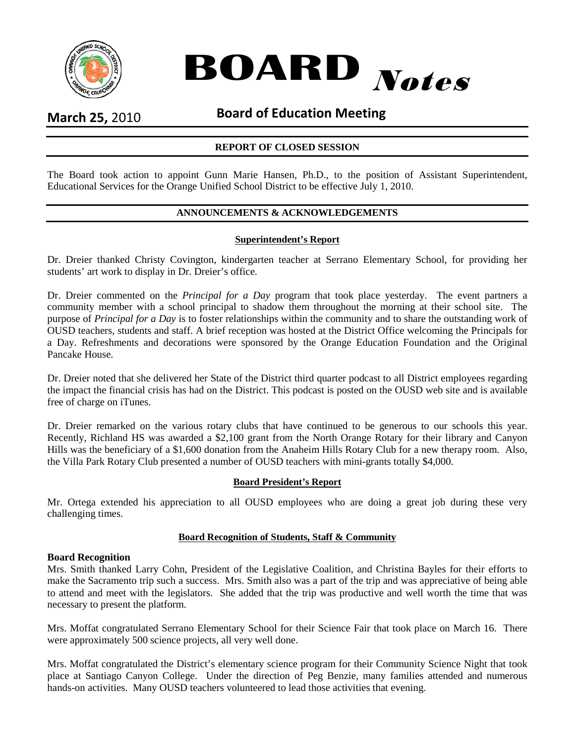



## **March 25,** 2010 **Board of Education Meeting**

### **REPORT OF CLOSED SESSION**

The Board took action to appoint Gunn Marie Hansen, Ph.D., to the position of Assistant Superintendent, Educational Services for the Orange Unified School District to be effective July 1, 2010.

## **ANNOUNCEMENTS & ACKNOWLEDGEMENTS**

#### **Superintendent's Report**

Dr. Dreier thanked Christy Covington, kindergarten teacher at Serrano Elementary School, for providing her students' art work to display in Dr. Dreier's office.

Dr. Dreier commented on the *Principal for a Day* program that took place yesterday. The event partners a community member with a school principal to shadow them throughout the morning at their school site. The purpose of *Principal for a Day* is to foster relationships within the community and to share the outstanding work of OUSD teachers, students and staff. A brief reception was hosted at the District Office welcoming the Principals for a Day. Refreshments and decorations were sponsored by the Orange Education Foundation and the Original Pancake House.

Dr. Dreier noted that she delivered her State of the District third quarter podcast to all District employees regarding the impact the financial crisis has had on the District. This podcast is posted on the OUSD web site and is available free of charge on iTunes.

Dr. Dreier remarked on the various rotary clubs that have continued to be generous to our schools this year. Recently, Richland HS was awarded a \$2,100 grant from the North Orange Rotary for their library and Canyon Hills was the beneficiary of a \$1,600 donation from the Anaheim Hills Rotary Club for a new therapy room. Also, the Villa Park Rotary Club presented a number of OUSD teachers with mini-grants totally \$4,000.

#### **Board President's Report**

Mr. Ortega extended his appreciation to all OUSD employees who are doing a great job during these very challenging times.

#### **Board Recognition of Students, Staff & Community**

#### **Board Recognition**

Mrs. Smith thanked Larry Cohn, President of the Legislative Coalition, and Christina Bayles for their efforts to make the Sacramento trip such a success. Mrs. Smith also was a part of the trip and was appreciative of being able to attend and meet with the legislators. She added that the trip was productive and well worth the time that was necessary to present the platform.

Mrs. Moffat congratulated Serrano Elementary School for their Science Fair that took place on March 16. There were approximately 500 science projects, all very well done.

Mrs. Moffat congratulated the District's elementary science program for their Community Science Night that took place at Santiago Canyon College. Under the direction of Peg Benzie, many families attended and numerous hands-on activities. Many OUSD teachers volunteered to lead those activities that evening.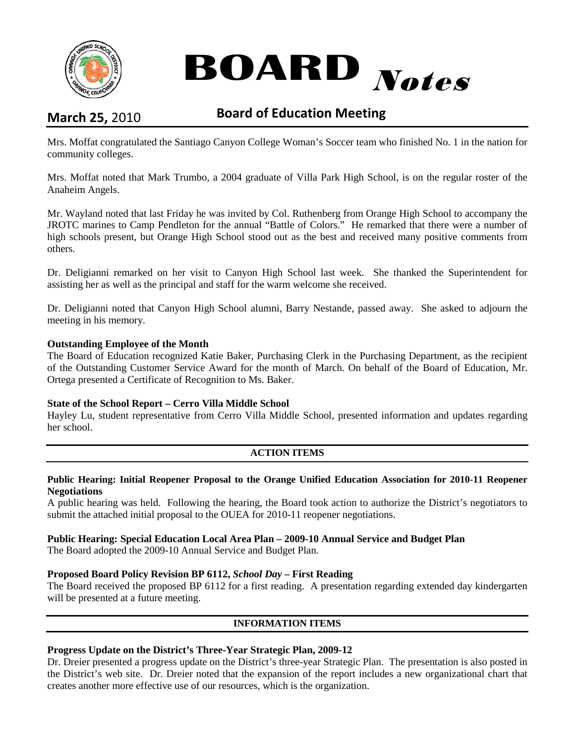

# **BOARD** Notes

# **March 25,** 2010 **Board of Education Meeting**

Mrs. Moffat congratulated the Santiago Canyon College Woman's Soccer team who finished No. 1 in the nation for community colleges.

Mrs. Moffat noted that Mark Trumbo, a 2004 graduate of Villa Park High School, is on the regular roster of the Anaheim Angels.

Mr. Wayland noted that last Friday he was invited by Col. Ruthenberg from Orange High School to accompany the JROTC marines to Camp Pendleton for the annual "Battle of Colors." He remarked that there were a number of high schools present, but Orange High School stood out as the best and received many positive comments from others.

Dr. Deligianni remarked on her visit to Canyon High School last week. She thanked the Superintendent for assisting her as well as the principal and staff for the warm welcome she received.

Dr. Deligianni noted that Canyon High School alumni, Barry Nestande, passed away. She asked to adjourn the meeting in his memory.

#### **Outstanding Employee of the Month**

The Board of Education recognized Katie Baker, Purchasing Clerk in the Purchasing Department, as the recipient of the Outstanding Customer Service Award for the month of March. On behalf of the Board of Education, Mr. Ortega presented a Certificate of Recognition to Ms. Baker.

#### **State of the School Report – Cerro Villa Middle School**

Hayley Lu, student representative from Cerro Villa Middle School, presented information and updates regarding her school.

#### **ACTION ITEMS**

#### **Public Hearing: Initial Reopener Proposal to the Orange Unified Education Association for 2010-11 Reopener Negotiations**

A public hearing was held. Following the hearing, the Board took action to authorize the District's negotiators to submit the attached initial proposal to the OUEA for 2010-11 reopener negotiations.

#### **Public Hearing: Special Education Local Area Plan – 2009-10 Annual Service and Budget Plan**

The Board adopted the 2009-10 Annual Service and Budget Plan.

#### **Proposed Board Policy Revision BP 6112,** *School Day* **– First Reading**

The Board received the proposed BP 6112 for a first reading. A presentation regarding extended day kindergarten will be presented at a future meeting.

#### **INFORMATION ITEMS**

#### **Progress Update on the District's Three-Year Strategic Plan, 2009-12**

Dr. Dreier presented a progress update on the District's three-year Strategic Plan. The presentation is also posted in the District's web site. Dr. Dreier noted that the expansion of the report includes a new organizational chart that creates another more effective use of our resources, which is the organization.